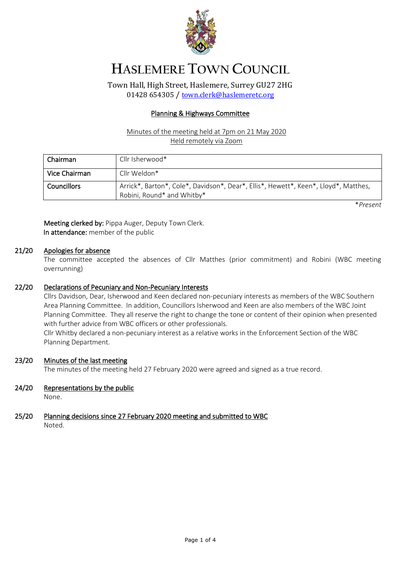

# **HASLEMERE TOWN COUNCIL**

Town Hall, High Street, Haslemere, Surrey GU27 2HG 01428 654305 / [town.clerk@haslemeretc.org](mailto:town.clerk@haslemeretc.org)

### Planning & Highways Committee

#### Minutes of the meeting held at 7pm on 21 May 2020 Held remotely via Zoom

| Chairman      | Cllr Isherwood*                                                                                                   |
|---------------|-------------------------------------------------------------------------------------------------------------------|
| Vice Chairman | Cllr Weldon*                                                                                                      |
| Councillors   | Arrick*, Barton*, Cole*, Davidson*, Dear*, Ellis*, Hewett*, Keen*, Lloyd*, Matthes,<br>Robini, Round* and Whitby* |

\**Present*

Meeting clerked by: Pippa Auger, Deputy Town Clerk. In attendance: member of the public

#### 21/20 Apologies for absence

The committee accepted the absences of Cllr Matthes (prior commitment) and Robini (WBC meeting overrunning)

#### 22/20 Declarations of Pecuniary and Non-Pecuniary Interests

Cllrs Davidson, Dear, Isherwood and Keen declared non-pecuniary interests as members of the WBC Southern Area Planning Committee. In addition, Councillors Isherwood and Keen are also members of the WBC Joint Planning Committee. They all reserve the right to change the tone or content of their opinion when presented with further advice from WBC officers or other professionals.

Cllr Whitby declared a non-pecuniary interest as a relative works in the Enforcement Section of the WBC Planning Department.

#### 23/20 Minutes of the last meeting

The minutes of the meeting held 27 February 2020 were agreed and signed as a true record.

# 24/20 Representations by the public

None.

#### 25/20 Planning decisions since 27 February 2020 meeting and submitted to WBC Noted.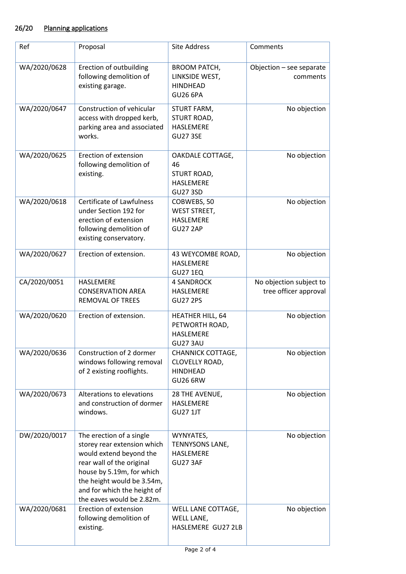# 26/20 Planning applications

| Ref          | Proposal                                                                                                                                                                                                                               | Site Address                                                                 | Comments                                         |
|--------------|----------------------------------------------------------------------------------------------------------------------------------------------------------------------------------------------------------------------------------------|------------------------------------------------------------------------------|--------------------------------------------------|
| WA/2020/0628 | Erection of outbuilding<br>following demolition of<br>existing garage.                                                                                                                                                                 | <b>BROOM PATCH,</b><br>LINKSIDE WEST,<br><b>HINDHEAD</b><br><b>GU26 6PA</b>  | Objection - see separate<br>comments             |
| WA/2020/0647 | Construction of vehicular<br>access with dropped kerb,<br>parking area and associated<br>works.                                                                                                                                        | STURT FARM,<br>STURT ROAD,<br><b>HASLEMERE</b><br><b>GU27 3SE</b>            | No objection                                     |
| WA/2020/0625 | Erection of extension<br>following demolition of<br>existing.                                                                                                                                                                          | OAKDALE COTTAGE,<br>46<br>STURT ROAD,<br><b>HASLEMERE</b><br><b>GU27 3SD</b> | No objection                                     |
| WA/2020/0618 | <b>Certificate of Lawfulness</b><br>under Section 192 for<br>erection of extension<br>following demolition of<br>existing conservatory.                                                                                                | COBWEBS, 50<br><b>WEST STREET,</b><br><b>HASLEMERE</b><br><b>GU27 2AP</b>    | No objection                                     |
| WA/2020/0627 | Erection of extension.                                                                                                                                                                                                                 | 43 WEYCOMBE ROAD,<br>HASLEMERE<br><b>GU27 1EQ</b>                            | No objection                                     |
| CA/2020/0051 | HASLEMERE<br><b>CONSERVATION AREA</b><br><b>REMOVAL OF TREES</b>                                                                                                                                                                       | <b>4 SANDROCK</b><br>HASLEMERE<br><b>GU27 2PS</b>                            | No objection subject to<br>tree officer approval |
| WA/2020/0620 | Erection of extension.                                                                                                                                                                                                                 | HEATHER HILL, 64<br>PETWORTH ROAD,<br>HASLEMERE<br>GU27 3AU                  | No objection                                     |
| WA/2020/0636 | Construction of 2 dormer<br>windows following removal<br>of 2 existing rooflights.                                                                                                                                                     | CHANNICK COTTAGE,<br>CLOVELLY ROAD,<br><b>HINDHEAD</b><br><b>GU26 6RW</b>    | No objection                                     |
| WA/2020/0673 | Alterations to elevations<br>and construction of dormer<br>windows.                                                                                                                                                                    | 28 THE AVENUE,<br>HASLEMERE<br><b>GU27 1JT</b>                               | No objection                                     |
| DW/2020/0017 | The erection of a single<br>storey rear extension which<br>would extend beyond the<br>rear wall of the original<br>house by 5.19m, for which<br>the height would be 3.54m,<br>and for which the height of<br>the eaves would be 2.82m. | WYNYATES,<br>TENNYSONS LANE,<br>HASLEMERE<br><b>GU27 3AF</b>                 | No objection                                     |
| WA/2020/0681 | Erection of extension<br>following demolition of<br>existing.                                                                                                                                                                          | WELL LANE COTTAGE,<br>WELL LANE,<br>HASLEMERE GU27 2LB                       | No objection                                     |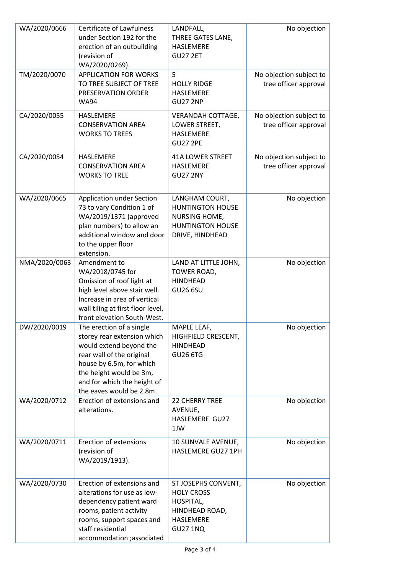| WA/2020/0666  | <b>Certificate of Lawfulness</b><br>under Section 192 for the<br>erection of an outbuilding<br>(revision of<br>WA/2020/0269).                                                                                                     | LANDFALL,<br>THREE GATES LANE,<br>HASLEMERE<br><b>GU27 2ET</b>                                           | No objection                                     |
|---------------|-----------------------------------------------------------------------------------------------------------------------------------------------------------------------------------------------------------------------------------|----------------------------------------------------------------------------------------------------------|--------------------------------------------------|
| TM/2020/0070  | <b>APPLICATION FOR WORKS</b><br>TO TREE SUBJECT OF TREE<br>PRESERVATION ORDER<br><b>WA94</b>                                                                                                                                      | 5<br><b>HOLLY RIDGE</b><br>HASLEMERE<br><b>GU27 2NP</b>                                                  | No objection subject to<br>tree officer approval |
| CA/2020/0055  | HASLEMERE<br><b>CONSERVATION AREA</b><br><b>WORKS TO TREES</b>                                                                                                                                                                    | VERANDAH COTTAGE,<br>LOWER STREET,<br>HASLEMERE<br><b>GU27 2PE</b>                                       | No objection subject to<br>tree officer approval |
| CA/2020/0054  | HASLEMERE<br><b>CONSERVATION AREA</b><br><b>WORKS TO TREE</b>                                                                                                                                                                     | <b>41A LOWER STREET</b><br>HASLEMERE<br><b>GU27 2NY</b>                                                  | No objection subject to<br>tree officer approval |
| WA/2020/0665  | Application under Section<br>73 to vary Condition 1 of<br>WA/2019/1371 (approved<br>plan numbers) to allow an<br>additional window and door<br>to the upper floor<br>extension.                                                   | LANGHAM COURT,<br><b>HUNTINGTON HOUSE</b><br>NURSING HOME,<br><b>HUNTINGTON HOUSE</b><br>DRIVE, HINDHEAD | No objection                                     |
| NMA/2020/0063 | Amendment to<br>WA/2018/0745 for<br>Omission of roof light at<br>high level above stair well.<br>Increase in area of vertical<br>wall tiling at first floor level,<br>front elevation South-West.                                 | LAND AT LITTLE JOHN,<br>TOWER ROAD,<br><b>HINDHEAD</b><br><b>GU26 6SU</b>                                | No objection                                     |
| DW/2020/0019  | The erection of a single<br>storey rear extension which<br>would extend beyond the<br>rear wall of the original<br>house by 6.5m, for which<br>the height would be 3m,<br>and for which the height of<br>the eaves would be 2.8m. | MAPLE LEAF,<br>HIGHFIELD CRESCENT,<br><b>HINDHEAD</b><br><b>GU26 6TG</b>                                 | No objection                                     |
| WA/2020/0712  | Erection of extensions and<br>alterations.                                                                                                                                                                                        | <b>22 CHERRY TREE</b><br>AVENUE,<br>HASLEMERE GU27<br>1JW                                                | No objection                                     |
| WA/2020/0711  | <b>Erection of extensions</b><br>(revision of<br>WA/2019/1913).                                                                                                                                                                   | 10 SUNVALE AVENUE,<br>HASLEMERE GU27 1PH                                                                 | No objection                                     |
| WA/2020/0730  | Erection of extensions and<br>alterations for use as low-<br>dependency patient ward<br>rooms, patient activity<br>rooms, support spaces and<br>staff residential<br>accommodation ;associated                                    | ST JOSEPHS CONVENT,<br><b>HOLY CROSS</b><br>HOSPITAL,<br>HINDHEAD ROAD,<br>HASLEMERE<br><b>GU27 1NQ</b>  | No objection                                     |